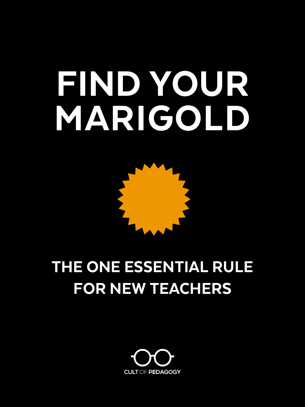# FIND YOUR MARIGOLD



## THE ONE ESSENTIAL RULE FOR NEW TEACHERS

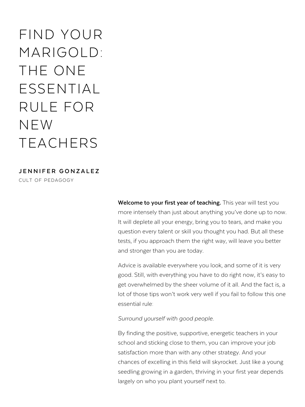### FIND YOUR MARIGOLD: THE ONE ESSENTIAL RULE FOR NEW TEACHERS

**JENNIFER GONZALEZ**

CULT OF PEDAGOGY

Welcome to your first year of teaching. This year will test you more intensely than just about anything you've done up to now. It will deplete all your energy, bring you to tears, and make you question every talent or skill you thought you had. But all these tests, if you approach them the right way, will leave you better and stronger than you are today.

Advice is available everywhere you look, and some of it is very good. Still, with everything you have to do right now, it's easy to get overwhelmed by the sheer volume of it all. And the fact is, a lot of those tips won't work very well if you fail to follow this one essential rule:

*Surround yourself with good people.*

By finding the positive, supportive, energetic teachers in your school and sticking close to them, you can improve your job satisfaction more than with any other strategy. And your chances of excelling in this field will skyrocket. Just like a young seedling growing in a garden, thriving in your first year depends largely on who you plant yourself next to.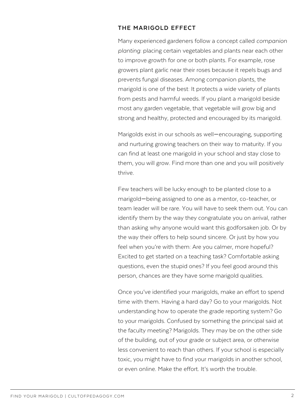#### **THE MARIGOLD EFFECT**

Many experienced gardeners follow a concept called *companion planting*: placing certain vegetables and plants near each other to improve growth for one or both plants. For example, rose growers plant garlic near their roses because it repels bugs and prevents fungal diseases. Among companion plants, the marigold is one of the best: It protects a wide variety of plants from pests and harmful weeds. If you plant a marigold beside most any garden vegetable, that vegetable will grow big and strong and healthy, protected and encouraged by its marigold.

Marigolds exist in our schools as well—encouraging, supporting and nurturing growing teachers on their way to maturity. If you can find at least one marigold in your school and stay close to them, you will grow. Find more than one and you will positively thrive.

Few teachers will be lucky enough to be planted close to a marigold—being assigned to one as a mentor, co-teacher, or team leader will be rare. You will have to seek them out. You can identify them by the way they congratulate you on arrival, rather than asking why anyone would want this godforsaken job. Or by the way their offers to help sound sincere. Or just by how you feel when you're with them: Are you calmer, more hopeful? Excited to get started on a teaching task? Comfortable asking questions, even the stupid ones? If you feel good around this person, chances are they have some marigold qualities.

Once you've identified your marigolds, make an effort to spend time with them. Having a hard day? Go to your marigolds. Not understanding how to operate the grade reporting system? Go to your marigolds. Confused by something the principal said at the faculty meeting? Marigolds. They may be on the other side of the building, out of your grade or subject area, or otherwise less convenient to reach than others. If your school is especially toxic, you might have to find your marigolds in another school, or even online. Make the effort. It's worth the trouble.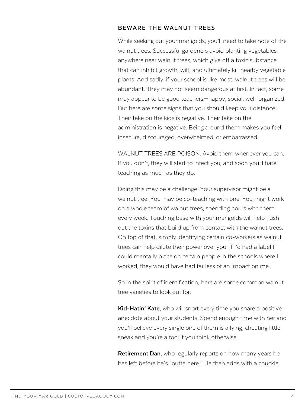#### **BEWARE THE WALNUT TREES**

While seeking out your marigolds, you'll need to take note of the walnut trees. Successful gardeners avoid planting vegetables anywhere near walnut trees, which give off a toxic substance that can inhibit growth, wilt, and ultimately kill nearby vegetable plants. And sadly, if your school is like most, walnut trees will be abundant. They may not seem dangerous at first. In fact, some may appear to be good teachers—happy, social, well-organized. But here are some signs that you should keep your distance: Their take on the kids is negative. Their take on the administration is negative. Being around them makes you feel insecure, discouraged, overwhelmed, or embarrassed.

WALNUT TREES ARE POISON. Avoid them whenever you can. If you don't, they will start to infect you, and soon you'll hate teaching as much as they do.

Doing this may be a challenge: Your supervisor might be a walnut tree. You may be co-teaching with one. You might work on a whole team of walnut trees, spending hours with them every week. Touching base with your marigolds will help flush out the toxins that build up from contact with the walnut trees. On top of that, simply identifying certain co-workers as walnut trees can help dilute their power over you. If I'd had a label I could mentally place on certain people in the schools where I worked, they would have had far less of an impact on me.

So in the spirit of identification, here are some common walnut tree varieties to look out for:

**Kid-Hatin' Kate**, who will snort every time you share a positive anecdote about your students. Spend enough time with her and you'll believe every single one of them is a lying, cheating little sneak and you're a fool if you think otherwise.

**Retirement Dan**, who regularly reports on how many years he has left before he's "outta here." He then adds with a chuckle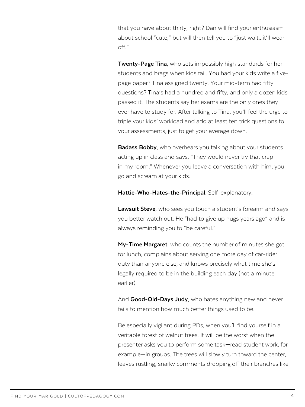that you have about thirty, right? Dan will find your enthusiasm about school "cute," but will then tell you to "just wait…it'll wear off."

**Twenty-Page Tina**, who sets impossibly high standards for her students and brags when kids fail. You had your kids write a fivepage paper? Tina assigned twenty. Your mid-term had fifty questions? Tina's had a hundred and fifty, and only a dozen kids passed it. The students say her exams are the only ones they ever have to study for. After talking to Tina, you'll feel the urge to triple your kids' workload and add at least ten trick questions to your assessments, just to get your average down.

**Badass Bobby**, who overhears you talking about your students acting up in class and says, "They would never try that crap in my room." Whenever you leave a conversation with him, you go and scream at your kids.

**Hattie-Who-Hates-the-Principal**. Self-explanatory.

**Lawsuit Steve**, who sees you touch a student's forearm and says you better watch out. He "had to give up hugs years ago" and is always reminding you to "be careful."

**My-Time Margaret**, who counts the number of minutes she got for lunch, complains about serving one more day of car-rider duty than anyone else, and knows precisely what time she's legally required to be in the building each day (not a minute earlier).

And **Good-Old-Days Judy**, who hates anything new and never fails to mention how much better things used to be.

Be especially vigilant during PDs, when you'll find yourself in a veritable forest of walnut trees. It will be the worst when the presenter asks you to perform some task—read student work, for example—in groups. The trees will slowly turn toward the center, leaves rustling, snarky comments dropping off their branches like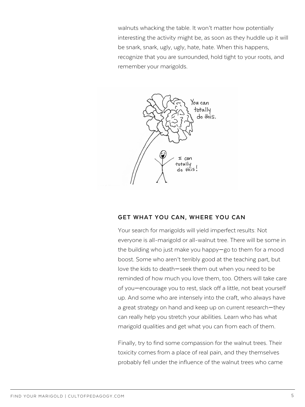walnuts whacking the table. It won't matter how potentially interesting the activity might be, as soon as they huddle up it will be snark, snark, ugly, ugly, hate, hate. When this happens, recognize that you are surrounded, hold tight to your roots, and remember your marigolds.



#### **GET WHAT YOU CAN, WHERE YOU CAN**

Your search for marigolds will yield imperfect results: Not everyone is all-marigold or all-walnut tree. There will be some in the building who just make you happy—go to them for a mood boost. Some who aren't terribly good at the teaching part, but love the kids to death—seek them out when you need to be reminded of how much you love them, too. Others will take care of you—encourage you to rest, slack off a little, not beat yourself up. And some who are intensely into the craft, who always have a great strategy on hand and keep up on current research—they can really help you stretch your abilities. Learn who has what marigold qualities and get what you can from each of them.

Finally, try to find some compassion for the walnut trees. Their toxicity comes from a place of real pain, and they themselves probably fell under the influence of the walnut trees who came